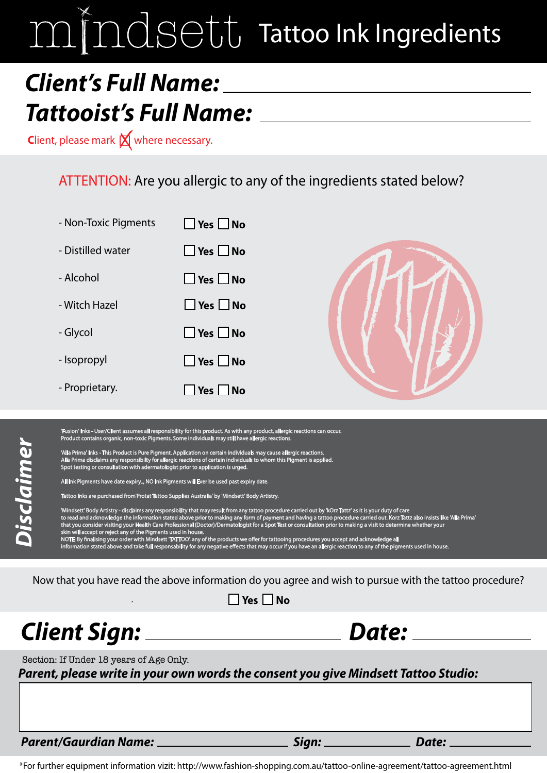# mindsett Tattoo Ink Ingredients

## *Client's Full Name: Tattooist's Full Name:*

**Client, please mark**  $\bigtimes$  **where necessary.** 

### ATTENTION: Are you allergic to any of the ingredients stated below?



'Fusion' Inks - User/Client assumes all responsibility for this product. As with any product, allergic reactions can occur.<br>Product contains organic, non-toxic Pigments. Some individuals may still have allergic reactions.

'Alla Prima' Inks - This Product is Pure Pigment. Application on certain individuals may cause allergic reactions.<br>Alla Prima disclaims any responsibilty for allergic reactions of certain individuals to whom this Pigment i

All Ink Pigments have date expiry.., NO Ink Pigments will Ever be used past expiry date.

too Inks are purchased from'Protat Tattoo Supplies Australia' by 'Mindsett' Body Artistry.

dure carried out by 'kOrz Tattz' as it is your duty of care<br>Tattoo procedure carer to read and acknowledge the information stated above prior to making any form of payment and having a tattoo procedure carried out. Korz Tattz also insists like 'Alla Prima<br>that you consider visiting your Health Care Profe skin will accept or reject any of the Pigments used in house.

NOTE: By finalising your order with Mindsett 'TATTOO'. any of the products we offer for tattooing procedures you accept and acknowledge all<br>information stated above and take full responsability for any negative effects tha

Now that you have read the above information do you agree and wish to pursue with the tattoo procedure?

| J No |
|------|
|      |

### *Client Sign: Date:*

**Disclaimer** *Disclaimer*

Section: If Under 18 years of Age Only.

*Parent, please write in your own words the consent you give Mindsett Tattoo Studio:*

*Parent/Gaurdian Name: Sign: Date:*

\*For further equipment information vizit: http://www.fashion-shopping.com.au/tattoo-online-agreement/tattoo-agreement.html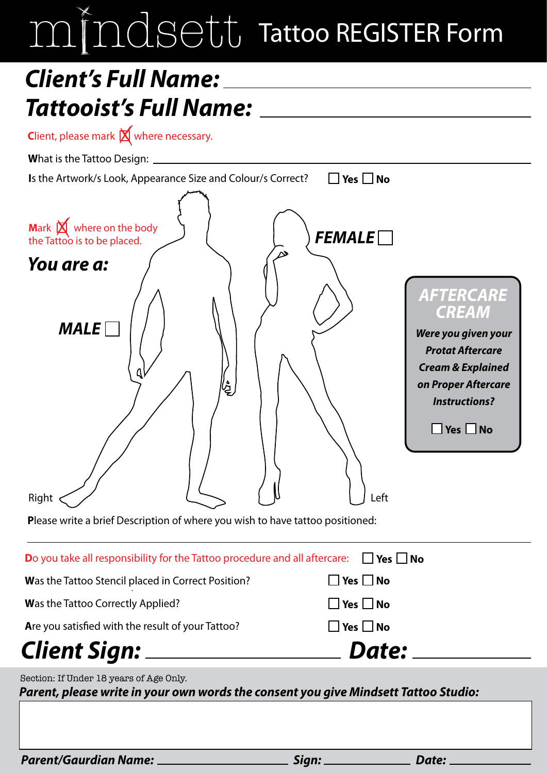# mindsett Tattoo REGISTER Form

## *Client's Full Name: Tattooist's Full Name:*

**Client, please mark**  $\cancel{\mathsf{X}}$  **where necessary.** 

**W**hat is the Tattoo Design:

| Is the Artwork/s Look, Appearance Size and Colour/s Correct?                                                                                                       | $\Box$ Yes $\Box$ No                                                                                                                |
|--------------------------------------------------------------------------------------------------------------------------------------------------------------------|-------------------------------------------------------------------------------------------------------------------------------------|
| Mark $\boxtimes$ where on the body<br>the Tattoo is to be placed.<br>You are a:<br><b>MALE</b>                                                                     | FEMALE<br><b>AFTERCARE</b><br><i><b>CREAM</b></i><br>Were you given your<br><b>Protat Aftercare</b><br><b>Cream &amp; Explained</b> |
| 煌<br>Right                                                                                                                                                         | on Proper Aftercare<br><b>Instructions?</b><br>$\Box$ Yes $\Box$ No<br>Left                                                         |
| Please write a brief Description of where you wish to have tattoo positioned:                                                                                      |                                                                                                                                     |
| Do you take all responsibility for the Tattoo procedure and all aftercare:                                                                                         | $\Box$ Yes $\Box$ No                                                                                                                |
| Was the Tattoo Stencil placed in Correct Position?                                                                                                                 | Yes $\Box$ No                                                                                                                       |
| Was the Tattoo Correctly Applied?                                                                                                                                  | $\square$ Yes $\square$ No                                                                                                          |
| Are you satisfied with the result of your Tattoo?                                                                                                                  | $\Box$ Yes $\Box$ No                                                                                                                |
|                                                                                                                                                                    | Date: ___________                                                                                                                   |
| Section: If Under 18 years of Age Only.<br>onon, n onder 10 years of hye only.<br>want alages with in your awn wards the consent you give Mindeett Tattes Ctudies. |                                                                                                                                     |

*Parent, please write in your own words the consent you give Mindsett Tattoo Studio:*

*Parent/Gaurdian Name: Sign: Date:*